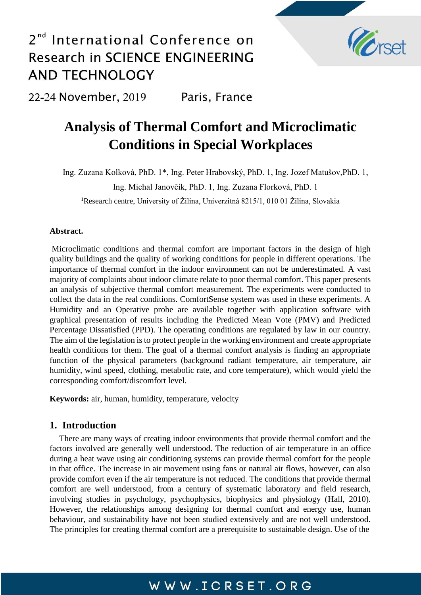

22-24 November, 2019 Paris, France

## **Analysis of Thermal Comfort and Microclimatic Conditions in Special Workplaces**

Ing. Zuzana Kolková, PhD. 1\*, Ing. Peter Hrabovský, PhD. 1, Ing. Jozef Matušov,PhD. 1,

Ing. Michal Janovčík, PhD. 1, Ing. Zuzana Florková, PhD. 1

<sup>1</sup>Research centre, University of Žilina, Univerzitná 8215/1, 010 01 Žilina, Slovakia

#### **Abstract.**

Microclimatic conditions and thermal comfort are important factors in the design of high quality buildings and the quality of working conditions for people in different operations. The importance of thermal comfort in the indoor environment can not be underestimated. A vast majority of complaints about indoor climate relate to poor thermal comfort. This paper presents an analysis of subjective thermal comfort measurement. The experiments were conducted to collect the data in the real conditions. ComfortSense system was used in these experiments. A Humidity and an Operative probe are available together with application software with graphical presentation of results including the Predicted Mean Vote (PMV) and Predicted Percentage Dissatisfied (PPD). The operating conditions are regulated by law in our country. The aim of the legislation is to protect people in the working environment and create appropriate health conditions for them. The goal of a thermal comfort analysis is finding an appropriate function of the physical parameters (background radiant temperature, air temperature, air humidity, wind speed, clothing, metabolic rate, and core temperature), which would yield the corresponding comfort/discomfort level.

**Keywords:** air, human, humidity, temperature, velocity

#### **1. Introduction**

There are many ways of creating indoor environments that provide thermal comfort and the factors involved are generally well understood. The reduction of air temperature in an office during a heat wave using air conditioning systems can provide thermal comfort for the people in that office. The increase in air movement using fans or natural air flows, however, can also provide comfort even if the air temperature is not reduced. The conditions that provide thermal comfort are well understood, from a century of systematic laboratory and field research, involving studies in psychology, psychophysics, biophysics and physiology (Hall, 2010). However, the relationships among designing for thermal comfort and energy use, human behaviour, and sustainability have not been studied extensively and are not well understood. The principles for creating thermal comfort are a prerequisite to sustainable design. Use of the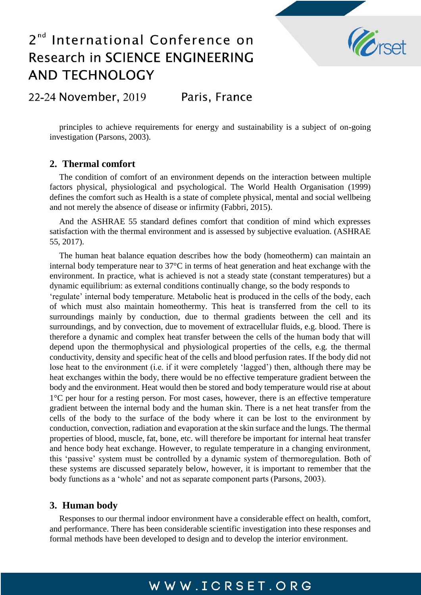

22-24 November, 2019 Paris, France

principles to achieve requirements for energy and sustainability is a subject of on-going investigation (Parsons, 2003).

#### **2. Thermal comfort**

The condition of comfort of an environment depends on the interaction between multiple factors physical, physiological and psychological. The World Health Organisation (1999) defines the comfort such as Health is a state of complete physical, mental and social wellbeing and not merely the absence of disease or infirmity (Fabbri, 2015).

And the ASHRAE 55 standard defines comfort that condition of mind which expresses satisfaction with the thermal environment and is assessed by subjective evaluation. (ASHRAE 55, 2017).

The human heat balance equation describes how the body (homeotherm) can maintain an internal body temperature near to 37°C in terms of heat generation and heat exchange with the environment. In practice, what is achieved is not a steady state (constant temperatures) but a dynamic equilibrium: as external conditions continually change, so the body responds to

'regulate' internal body temperature. Metabolic heat is produced in the cells of the body, each of which must also maintain homeothermy. This heat is transferred from the cell to its surroundings mainly by conduction, due to thermal gradients between the cell and its surroundings, and by convection, due to movement of extracellular fluids, e.g. blood. There is therefore a dynamic and complex heat transfer between the cells of the human body that will depend upon the thermophysical and physiological properties of the cells, e.g. the thermal conductivity, density and specific heat of the cells and blood perfusion rates. If the body did not lose heat to the environment (i.e. if it were completely 'lagged') then, although there may be heat exchanges within the body, there would be no effective temperature gradient between the body and the environment. Heat would then be stored and body temperature would rise at about 1°C per hour for a resting person. For most cases, however, there is an effective temperature gradient between the internal body and the human skin. There is a net heat transfer from the cells of the body to the surface of the body where it can be lost to the environment by conduction, convection, radiation and evaporation at the skin surface and the lungs. The thermal properties of blood, muscle, fat, bone, etc. will therefore be important for internal heat transfer and hence body heat exchange. However, to regulate temperature in a changing environment, this 'passive' system must be controlled by a dynamic system of thermoregulation. Both of these systems are discussed separately below, however, it is important to remember that the body functions as a 'whole' and not as separate component parts (Parsons, 2003).

#### **3. Human body**

Responses to our thermal indoor environment have a considerable effect on health, comfort, and performance. There has been considerable scientific investigation into these responses and formal methods have been developed to design and to develop the interior environment.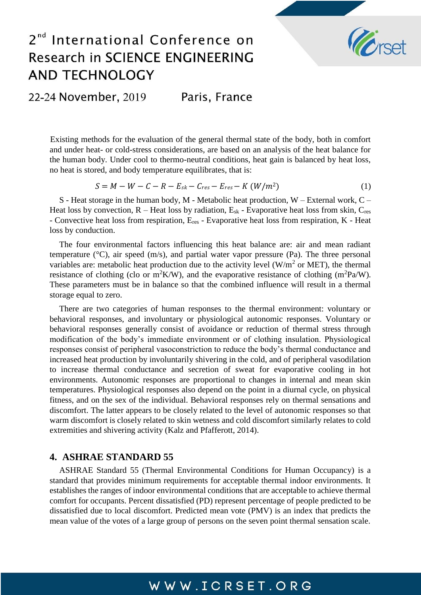

22-24 November, 2019 Paris, France

Existing methods for the evaluation of the general thermal state of the body, both in comfort and under heat- or cold-stress considerations, are based on an analysis of the heat balance for the human body. Under cool to thermo-neutral conditions, heat gain is balanced by heat loss, no heat is stored, and body temperature equilibrates, that is:

$$
S = M - W - C - R - E_{sk} - C_{res} - E_{res} - K (W/m^2)
$$
\n
$$
\tag{1}
$$

S - Heat storage in the human body, M - Metabolic heat production, W – External work, C – Heat loss by convection,  $R$  – Heat loss by radiation,  $E_{sk}$  - Evaporative heat loss from skin,  $C_{res}$ - Convective heat loss from respiration, Eres - Evaporative heat loss from respiration, K - Heat loss by conduction.

The four environmental factors influencing this heat balance are: air and mean radiant temperature (°C), air speed (m/s), and partial water vapor pressure (Pa). The three personal variables are: metabolic heat production due to the activity level  $(W/m<sup>2</sup>$  or MET), the thermal resistance of clothing (clo or  $m^2K/W$ ), and the evaporative resistance of clothing  $(m^2Pa/W)$ . These parameters must be in balance so that the combined influence will result in a thermal storage equal to zero.

There are two categories of human responses to the thermal environment: voluntary or behavioral responses, and involuntary or physiological autonomic responses. Voluntary or behavioral responses generally consist of avoidance or reduction of thermal stress through modification of the body's immediate environment or of clothing insulation. Physiological responses consist of peripheral vasoconstriction to reduce the body's thermal conductance and increased heat production by involuntarily shivering in the cold, and of peripheral vasodilation to increase thermal conductance and secretion of sweat for evaporative cooling in hot environments. Autonomic responses are proportional to changes in internal and mean skin temperatures. Physiological responses also depend on the point in a diurnal cycle, on physical fitness, and on the sex of the individual. Behavioral responses rely on thermal sensations and discomfort. The latter appears to be closely related to the level of autonomic responses so that warm discomfort is closely related to skin wetness and cold discomfort similarly relates to cold extremities and shivering activity (Kalz and Pfafferott, 2014).

#### **4. ASHRAE STANDARD 55**

ASHRAE Standard 55 (Thermal Environmental Conditions for Human Occupancy) is a standard that provides minimum requirements for acceptable thermal indoor environments. It establishes the ranges of indoor environmental conditions that are acceptable to achieve thermal comfort for occupants. Percent dissatisfied (PD) represent percentage of people predicted to be dissatisfied due to local discomfort. Predicted mean vote (PMV) is an index that predicts the mean value of the votes of a large group of persons on the seven point thermal sensation scale.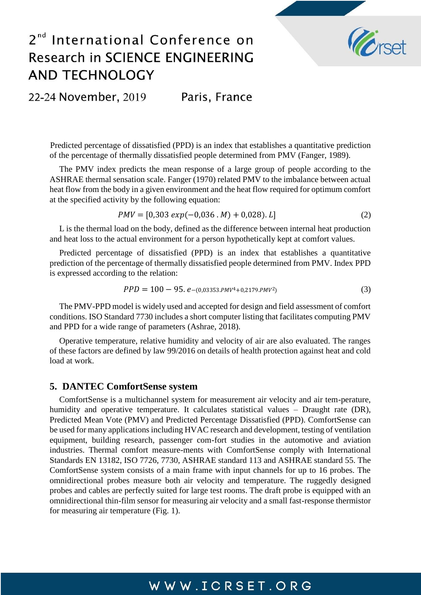

22-24 November, 2019 Paris, France

Predicted percentage of dissatisfied (PPD) is an index that establishes a quantitative prediction of the percentage of thermally dissatisfied people determined from PMV (Fanger, 1989).

The PMV index predicts the mean response of a large group of people according to the ASHRAE thermal sensation scale. Fanger (1970) related PMV to the imbalance between actual heat flow from the body in a given environment and the heat flow required for optimum comfort at the specified activity by the following equation:

$$
PMV = [0,303 \exp(-0,036 \cdot M) + 0,028) \cdot L]
$$
 (2)

L is the thermal load on the body, defined as the difference between internal heat production and heat loss to the actual environment for a person hypothetically kept at comfort values.

Predicted percentage of dissatisfied (PPD) is an index that establishes a quantitative prediction of the percentage of thermally dissatisfied people determined from PMV. Index PPD is expressed according to the relation:

$$
PPD = 100 - 95. e^{-(0.03353. PMV^4 + 0.2179. PMV^2)}
$$
\n(3)

The PMV-PPD model is widely used and accepted for design and field assessment of comfort conditions. ISO Standard 7730 includes a short computer listing that facilitates computing PMV and PPD for a wide range of parameters (Ashrae, 2018).

Operative temperature, relative humidity and velocity of air are also evaluated. The ranges of these factors are defined by law 99/2016 on details of health protection against heat and cold load at work.

#### **5. DANTEC ComfortSense system**

ComfortSense is a multichannel system for measurement air velocity and air tem-perature, humidity and operative temperature. It calculates statistical values – Draught rate (DR), Predicted Mean Vote (PMV) and Predicted Percentage Dissatisfied (PPD). ComfortSense can be used for many applications including HVAC research and development, testing of ventilation equipment, building research, passenger com-fort studies in the automotive and aviation industries. Thermal comfort measure-ments with ComfortSense comply with International Standards EN 13182, ISO 7726, 7730, ASHRAE standard 113 and ASHRAE standard 55. The ComfortSense system consists of a main frame with input channels for up to 16 probes. The omnidirectional probes measure both air velocity and temperature. The ruggedly designed probes and cables are perfectly suited for large test rooms. The draft probe is equipped with an omnidirectional thin-film sensor for measuring air velocity and a small fast-response thermistor for measuring air temperature (Fig. 1).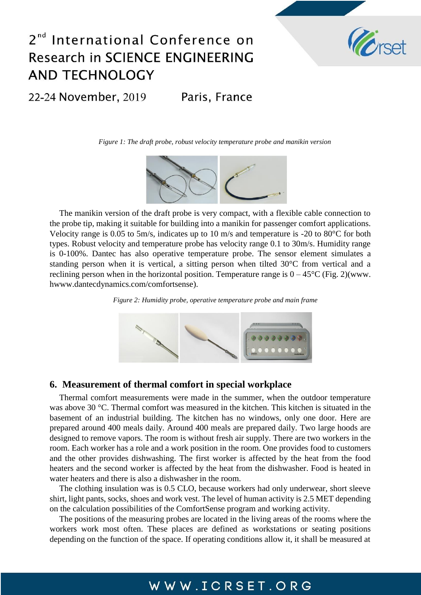

22-24 November, 2019 Paris, France

*Figure 1: The draft probe, robust velocity temperature probe and manikin version* 



The manikin version of the draft probe is very compact, with a flexible cable connection to the probe tip, making it suitable for building into a manikin for passenger comfort applications. Velocity range is 0.05 to 5m/s, indicates up to 10 m/s and temperature is -20 to 80°C for both types. Robust velocity and temperature probe has velocity range 0.1 to 30m/s. Humidity range is 0-100%. Dantec has also operative temperature probe. The sensor element simulates a standing person when it is vertical, a sitting person when tilted 30°C from vertical and a reclining person when in the horizontal position. Temperature range is  $0 - 45^{\circ}C$  (Fig. 2)(www. hwww.dantecdynamics.com/comfortsense).

*Figure 2: Humidity probe, operative temperature probe and main frame* 



#### **6. Measurement of thermal comfort in special workplace**

Thermal comfort measurements were made in the summer, when the outdoor temperature was above 30 °C. Thermal comfort was measured in the kitchen. This kitchen is situated in the basement of an industrial building. The kitchen has no windows, only one door. Here are prepared around 400 meals daily. Around 400 meals are prepared daily. Two large hoods are designed to remove vapors. The room is without fresh air supply. There are two workers in the room. Each worker has a role and a work position in the room. One provides food to customers and the other provides dishwashing. The first worker is affected by the heat from the food heaters and the second worker is affected by the heat from the dishwasher. Food is heated in water heaters and there is also a dishwasher in the room.

The clothing insulation was is 0.5 CLO, because workers had only underwear, short sleeve shirt, light pants, socks, shoes and work vest. The level of human activity is 2.5 MET depending on the calculation possibilities of the ComfortSense program and working activity.

The positions of the measuring probes are located in the living areas of the rooms where the workers work most often. These places are defined as workstations or seating positions depending on the function of the space. If operating conditions allow it, it shall be measured at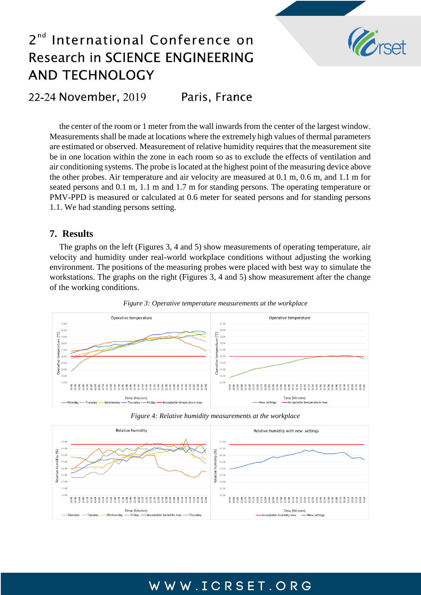

### International Conference on  $2<sup>nd</sup>$ Research in SCIENCE ENGINEERING **AND TECHNOLOGY**

22-24 November, 2019 Paris, France

the center of the room or 1 meter from the wall inwards from the center of the largest window. Measurements shall be made at locations where the extremely high values of thermal parameters are estimated or observed. Measurement of relative humidity requires that the measurement site be in one location within the zone in each room so as to exclude the effects of ventilation and air conditioning systems. The probe is located at the highest point of the measuring device above the other probes. Air temperature and air velocity are measured at 0.1 m, 0.6 m, and 1.1 m for seated persons and 0.1 m, 1.1 m and 1.7 m for standing persons. The operating temperature or PMV-PPD is measured or calculated at 0.6 meter for seated persons and for standing persons 1.1. We had standing persons setting.

#### **7. Results**

The graphs on the left (Figures 3, 4 and 5) show measurements of operating temperature, air velocity and humidity under real-world workplace conditions without adjusting the working environment. The positions of the measuring probes were placed with best way to simulate the workstations. The graphs on the right (Figures 3, 4 and 5) show measurement after the change of the working conditions.









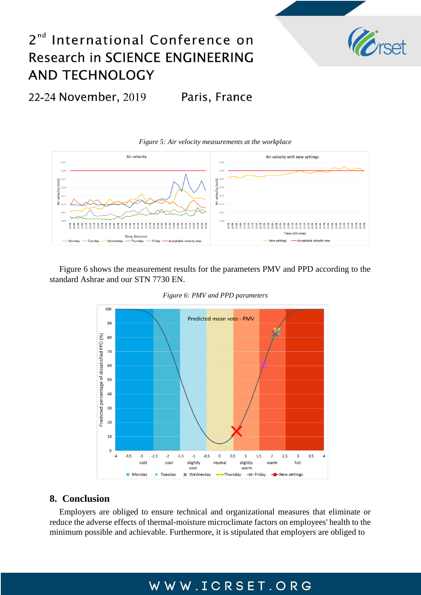

22-24 November, 2019

Paris, France



Figure 6 shows the measurement results for the parameters PMV and PPD according to the standard Ashrae and our STN 7730 EN.



*Figure 6: PMV and PPD parameters* 

#### **8. Conclusion**

Employers are obliged to ensure technical and organizational measures that eliminate or reduce the adverse effects of thermal-moisture microclimate factors on employees' health to the minimum possible and achievable. Furthermore, it is stipulated that employers are obliged to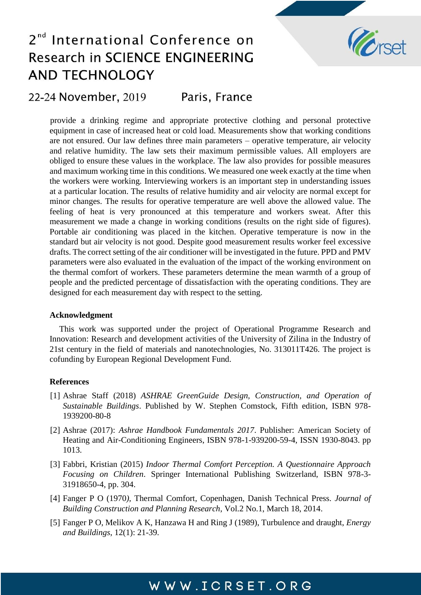

#### 22-24 November, 2019 Paris, France

provide a drinking regime and appropriate protective clothing and personal protective equipment in case of increased heat or cold load. Measurements show that working conditions are not ensured. Our law defines three main parameters – operative temperature, air velocity and relative humidity. The law sets their maximum permissible values. All employers are obliged to ensure these values in the workplace. The law also provides for possible measures and maximum working time in this conditions. We measured one week exactly at the time when the workers were working. Interviewing workers is an important step in understanding issues at a particular location. The results of relative humidity and air velocity are normal except for minor changes. The results for operative temperature are well above the allowed value. The feeling of heat is very pronounced at this temperature and workers sweat. After this measurement we made a change in working conditions (results on the right side of figures). Portable air conditioning was placed in the kitchen. Operative temperature is now in the standard but air velocity is not good. Despite good measurement results worker feel excessive drafts. The correct setting of the air conditioner will be investigated in the future. PPD and PMV parameters were also evaluated in the evaluation of the impact of the working environment on the thermal comfort of workers. These parameters determine the mean warmth of a group of people and the predicted percentage of dissatisfaction with the operating conditions. They are designed for each measurement day with respect to the setting.

#### **Acknowledgment**

This work was supported under the project of Operational Programme Research and Innovation: Research and development activities of the University of Zilina in the Industry of 21st century in the field of materials and nanotechnologies, No. 313011T426. The project is cofunding by European Regional Development Fund.

#### **References**

- [1] Ashrae Staff (2018) *ASHRAE GreenGuide Design, Construction, and Operation of Sustainable Buildings*. Published by W. Stephen Comstock, Fifth edition, ISBN 978- 1939200-80-8
- [2] Ashrae (2017): *Ashrae Handbook Fundamentals 2017*. Publisher: American Society of Heating and Air-Conditioning Engineers, ISBN 978-1-939200-59-4, ISSN 1930-8043. pp 1013.
- [3] Fabbri, Kristian (2015) *Indoor Thermal Comfort Perception. A Questionnaire Approach Focusing on Children*. Springer International Publishing Switzerland, ISBN 978-3- 31918650-4, pp. 304.
- [4] Fanger P O (1970*),* Thermal Comfort*,* Copenhagen, Danish Technical Press. *Journal of Building Construction and Planning Research*, Vol.2 No.1, March 18, 2014.
- [5] Fanger P O, Melikov A K, Hanzawa H and Ring J (1989), Turbulence and draught, *Energy and Buildings*, 12(1): 21-39.